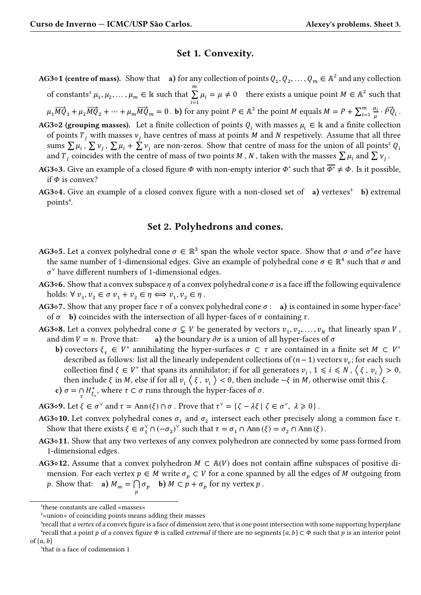## **Set 1. Convexity.**

- **AG3** $\diamond$ **1 (centre of mass).** Show that **a**) for any collection of points  $Q_1, Q_2, \ldots, Q_m \in \mathbb{A}^2$  and any collection of constants<sup>1</sup>  $\mu_1, \mu_2, \ldots, \mu_m \in \mathbb{k}$  such that  $\boldsymbol{m}$ ∑  $\sum_{i=1} \mu_i = \mu \neq 0$  there exists a unique point  $M \in \mathbb{A}^2$  such that  $\mu_1\overrightarrow{MQ}_1+\mu_2\overrightarrow{MQ}_2+\cdots+\mu_m\overrightarrow{MQ}_m=0$  . **b**) for any point  $P\in{\mathbb A}^2$  the point  $M$  equals  $M=P+\sum_{i=1}^m\overrightarrow{MQ}_i$  $i=1$  $\mu_i$  $\frac{\mu_i}{\mu} \cdot \vec{PQ}_i$  .
- **AG3** $\diamond$ **2** (grouping masses). Let a finite collection of points  $Q_i$  with masses  $\mu_i \in \mathbb{R}$  and a finite collection of points  $T_i$  with masses  $v_i$  have centres of mass at points M and N respetively. Assume that all three sums  $\sum \mu_i$ ,  $\sum \nu_j$ ,  $\sum \mu_i + \sum \nu_j$  are non-zeros. Show that centre of mass for the union of all points<sup>2</sup>  $Q_i$ and  $T_j$  coincides with the centre of mass of two points  $M$  ,  $N$  , taken with the masses  $\sum \mu_i$  and  $\sum \nu_j$  .
- **AG3◇3.** Give an example of a closed figure  $\phi$  with non-empty interior  $\phi^\circ$  such that  $\overline{\phi^\circ}\neq \phi$ . Is it possible, if  $\Phi$  is convex?
- **AG3**<sup> $\circ$ </sup>**4.** Give an example of a closed convex figure with a non-closed set of **a**) vertexes<sup>3</sup> **b**) extremal points<sup>4</sup>.

## **Set 2. Polyhedrons and cones.**

- **AG3** $\diamond$ **5. Let a convex polyhedral cone**  $\sigma \in \mathbb{R}^3$  **span the whole vector space. Show that**  $\sigma$  **and**  $\sigma^v e e$  **have** the same number of 1-dimensional edges. Give an example of polyhedral cone  $\sigma \in \mathbb{R}^4$  such that  $\sigma$  and  $\sigma^{\vee}$  have different numbers of 1-dimensional edges.
- **AG3** $\circ$ **6.** Show that a convex subspace  $\eta$  of a convex polyhedral cone  $\sigma$  is a face iff the following equivalence holds:  $\forall v_1, v_2 \in \sigma v_1 + v_2 \in \eta \Longleftrightarrow v_1, v_2 \in \eta$ .
- **AG3** $\circ$ **7.** Show that any proper face  $\tau$  of a convex polyhedral cone  $\sigma$ : **a**) is contained in some hyper-face<sup>5</sup> of  $\sigma$  **b**) coincides with the intersection of all hyper-faces of  $\sigma$  containing  $\tau$ .
- **AG3◇8.** Let a convex polyhedral cone  $\sigma \subsetneq V$  be generated by vectors  $v_1, v_2, ..., v_N$  that linearly span  $V$ , and dim  $V = n$ . Prove that: **a**) the boundary  $\partial \sigma$  is a union of all hyper-faces of  $\sigma$ 
	- **b**) covectors  $\xi_{\tau} \in V^*$  annihilating the hyper-surfaces  $\sigma \subset \tau$  are contained in a finite set  $M \subset V^*$ described as follows: list all the linearly independent collections of  $(n - 1)$  vectors  $v<sub>v</sub>$ ; for each such collection find  $\xi \in V^*$  that spans its annihilator; if for all generators  $v_i$ ,  $1 \leq i \leq N$ ,  $\langle \xi, v_i \rangle > 0$ , then include  $\xi$  in M, else if for all  $v_i \langle \xi, v_i \rangle < 0$ , then include  $-\xi$  in M, otherwise omit this  $\xi$ . **c**)  $\sigma = \bigcap_{\tau} H_{\xi_1}^+$  $\frac{1}{\xi_{\tau}}$ , where  $\tau \subset \sigma$  runs through the hyper-faces of  $\sigma$ .
- **AG3◇9.** Let  $\xi \in \sigma^\vee$  and  $\tau = \text{Ann}(\xi) \cap \sigma$ . Prove that  $\tau^\vee = {\zeta \lambda \xi | \zeta \in \sigma^\vee, \lambda \geq 0}$ .
- **AG3◇10.** Let convex polyhedral cones  $\sigma_1$  and  $\sigma_2$  intersect each other precisely along a common face  $\tau$ . Show that there exists  $\xi \in \sigma_1^{\vee} \cap (-\sigma_2)^{\vee}$  such that  $\tau = \sigma_1 \cap \text{Ann}(\xi) = \sigma_2 \cap \text{Ann}(\xi)$ .
- **AG3**⋄**11.** Show that any two vertexes of any convex polyhedron are connected by some pass formed from 1-dimensional edges.
- **AG<sup>3</sup>◇12.** Assume that a convex polyhedron  $M \text{ }\subset A(V)$  does not contain affine subspaces of positive dimension. For each vertex  $p \in M$  write  $\sigma_p \subset V$  for a cone spanned by all the edges of M outgoing from *p*. Show that: **a**)  $M_{\infty} = \bigcap_{p} \sigma_p$  **b**)  $M \subset p + \sigma_p$  for ny vertex  $p$ .

<sup>&</sup>lt;sup>1</sup>these constants are called «masses»

²«union» of coinciding points means adding their masses

<sup>&</sup>lt;sup>3</sup>recall that *a vertex* of a convex figure is a face of dimension zero, that is one point intersection with some supporting hyperplane  $^4$ recall that a point p of a convex figure  $\Phi$  is called *extremal* if there are no segments  $[a, b] \subset \Phi$  such that p is an interior point of  $[a, b]$ 

<sup>&</sup>lt;sup>5</sup>that is a face of codimension 1